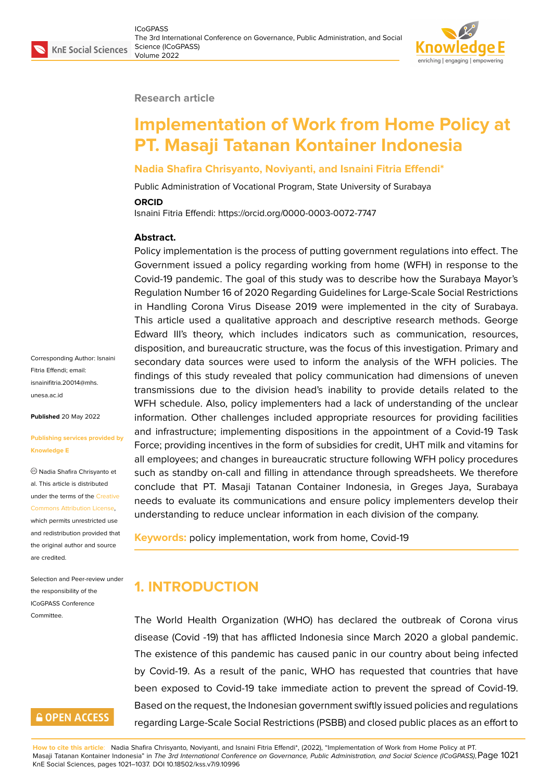#### **Research article**

# **Implementation of Work from Home Policy at PT. Masaji Tatanan Kontainer Indonesia**

#### **Nadia Shafira Chrisyanto, Noviyanti, and Isnaini Fitria Effendi\***

Public Administration of Vocational Program, State University of Surabaya

#### **ORCID**

Isnaini Fitria Effendi: https://orcid.org/0000-0003-0072-7747

#### **Abstract.**

Policy implementation is the process of putting government regulations into effect. The Government issued a policy regarding working from home (WFH) in response to the Covid-19 pandemic. The goal of this study was to describe how the Surabaya Mayor's Regulation Number 16 of 2020 Regarding Guidelines for Large-Scale Social Restrictions in Handling Corona Virus Disease 2019 were implemented in the city of Surabaya. This article used a qualitative approach and descriptive research methods. George Edward III's theory, which includes indicators such as communication, resources, disposition, and bureaucratic structure, was the focus of this investigation. Primary and secondary data sources were used to inform the analysis of the WFH policies. The findings of this study revealed that policy communication had dimensions of uneven transmissions due to the division head's inability to provide details related to the WFH schedule. Also, policy implementers had a lack of understanding of the unclear information. Other challenges included appropriate resources for providing facilities and infrastructure; implementing dispositions in the appointment of a Covid-19 Task Force; providing incentives in the form of subsidies for credit, UHT milk and vitamins for all employees; and changes in bureaucratic structure following WFH policy procedures such as standby on-call and filling in attendance through spreadsheets. We therefore conclude that PT. Masaji Tatanan Container Indonesia, in Greges Jaya, Surabaya needs to evaluate its communications and ensure policy implementers develop their understanding to reduce unclear information in each division of the company.

**Keywords:** policy implementation, work from home, Covid-19

## **1. INTRODUCTION**

The World Health Organization (WHO) has declared the outbreak of Corona virus disease (Covid -19) that has afflicted Indonesia since March 2020 a global pandemic. The existence of this pandemic has caused panic in our country about being infected by Covid-19. As a result of the panic, WHO has requested that countries that have been exposed to Covid-19 take immediate action to prevent the spread of Covid-19. Based on the request, the Indonesian government swiftly issued policies and regulations regarding Large-Scale Social Restrictions (PSBB) and closed public places as an effort to

**How to cite this article**: Nadia Shafira Chrisyanto, Noviyanti, and Isnaini Fitria Effendi\*, (2022), "Implementation of Work from Home Policy at PT. Masaji Tatanan Kontainer Indonesia" in *The 3rd International Conference on Governance, Public Administration, and Social Science (ICoGPASS)*, Page 1021 KnE Social Sciences, pages 1021–1037. DOI 10.18502/kss.v7i9.10996

Corresponding Author: Isnaini Fitria Effendi; email: isnainifitria.20014@mhs. unesa.ac.id

**Published** 20 May 2022

#### **[Publishing](mailto:isnainifitria.20014@mhs.unesa.ac.id) services provided by Knowledge E**

Nadia Shafira Chrisyanto et al. This article is distributed under the terms of the Creative Commons Attribution License, which permits unrestricted use

and redistribution provided that the original author and [source](https://creativecommons.org/licenses/by/4.0/) [are credited.](https://creativecommons.org/licenses/by/4.0/)

Selection and Peer-review under the responsibility of the ICoGPASS Conference Committee.

## **GOPEN ACCESS**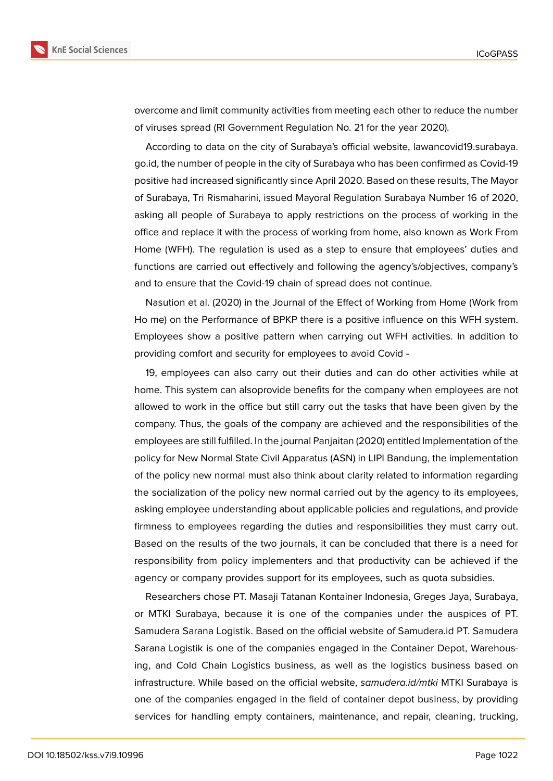overcome and limit community activities from meeting each other to reduce the number of viruses spread (RI Government Regulation No. 21 for the year 2020).

According to data on the city of Surabaya's official website, lawancovid19.surabaya. go.id, the number of people in the city of Surabaya who has been confirmed as Covid-19 positive had increased significantly since April 2020. Based on these results, The Mayor of Surabaya, Tri Rismaharini, issued Mayoral Regulation Surab[aya Number 16 of 2020,](lawancovid19.surabaya.go.id) [askin](lawancovid19.surabaya.go.id)g all people of Surabaya to apply restrictions on the process of working in the office and replace it with the process of working from home, also known as Work From Home (WFH). The regulation is used as a step to ensure that employees' duties and functions are carried out effectively and following the agency's/objectives, company's and to ensure that the Covid-19 chain of spread does not continue.

Nasution et al. (2020) in the Journal of the Effect of Working from Home (Work from Ho me) on the Performance of BPKP there is a positive influence on this WFH system. Employees show a positive pattern when carrying out WFH activities. In addition to providing comfort and security for employees to avoid Covid -

19, employees can also carry out their duties and can do other activities while at home. This system can alsoprovide benefits for the company when employees are not allowed to work in the office but still carry out the tasks that have been given by the company. Thus, the goals of the company are achieved and the responsibilities of the employees are still fulfilled. In the journal Panjaitan (2020) entitled Implementation of the policy for New Normal State Civil Apparatus (ASN) in LIPI Bandung, the implementation of the policy new normal must also think about clarity related to information regarding the socialization of the policy new normal carried out by the agency to its employees, asking employee understanding about applicable policies and regulations, and provide firmness to employees regarding the duties and responsibilities they must carry out. Based on the results of the two journals, it can be concluded that there is a need for responsibility from policy implementers and that productivity can be achieved if the agency or company provides support for its employees, such as quota subsidies.

Researchers chose PT. Masaji Tatanan Kontainer Indonesia, Greges Jaya, Surabaya, or MTKI Surabaya, because it is one of the companies under the auspices of PT. Samudera Sarana Logistik. Based on the official website of Samudera.id PT. Samudera Sarana Logistik is one of the companies engaged in the Container Depot, Warehousing, and Cold Chain Logistics business, as well as the logistics business based on infrastructure. While based on the official website, *samudera.id/mtki* MTKI Surabaya is one of the companies engaged in the field of container depot business, by providing services for handling empty containers, maintenance, and repair, cleaning, trucking,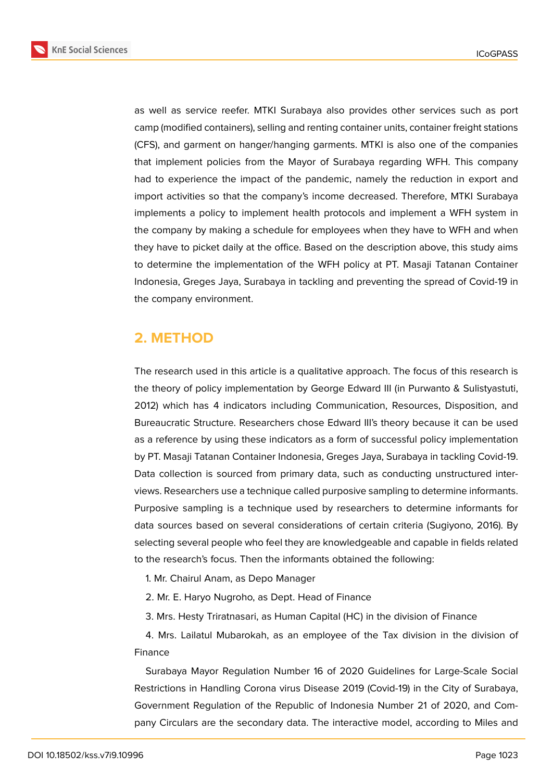

as well as service reefer. MTKI Surabaya also provides other services such as port camp (modified containers), selling and renting container units, container freight stations (CFS), and garment on hanger/hanging garments. MTKI is also one of the companies that implement policies from the Mayor of Surabaya regarding WFH. This company had to experience the impact of the pandemic, namely the reduction in export and import activities so that the company's income decreased. Therefore, MTKI Surabaya implements a policy to implement health protocols and implement a WFH system in the company by making a schedule for employees when they have to WFH and when they have to picket daily at the office. Based on the description above, this study aims to determine the implementation of the WFH policy at PT. Masaji Tatanan Container Indonesia, Greges Jaya, Surabaya in tackling and preventing the spread of Covid-19 in the company environment.

## **2. METHOD**

The research used in this article is a qualitative approach. The focus of this research is the theory of policy implementation by George Edward III (in Purwanto & Sulistyastuti, 2012) which has 4 indicators including Communication, Resources, Disposition, and Bureaucratic Structure. Researchers chose Edward III's theory because it can be used as a reference by using these indicators as a form of successful policy implementation by PT. Masaji Tatanan Container Indonesia, Greges Jaya, Surabaya in tackling Covid-19. Data collection is sourced from primary data, such as conducting unstructured interviews. Researchers use a technique called purposive sampling to determine informants. Purposive sampling is a technique used by researchers to determine informants for data sources based on several considerations of certain criteria (Sugiyono, 2016). By selecting several people who feel they are knowledgeable and capable in fields related to the research's focus. Then the informants obtained the following:

1. Mr. Chairul Anam, as Depo Manager

2. Mr. E. Haryo Nugroho, as Dept. Head of Finance

3. Mrs. Hesty Triratnasari, as Human Capital (HC) in the division of Finance

4. Mrs. Lailatul Mubarokah, as an employee of the Tax division in the division of Finance

Surabaya Mayor Regulation Number 16 of 2020 Guidelines for Large-Scale Social Restrictions in Handling Corona virus Disease 2019 (Covid-19) in the City of Surabaya, Government Regulation of the Republic of Indonesia Number 21 of 2020, and Company Circulars are the secondary data. The interactive model, according to Miles and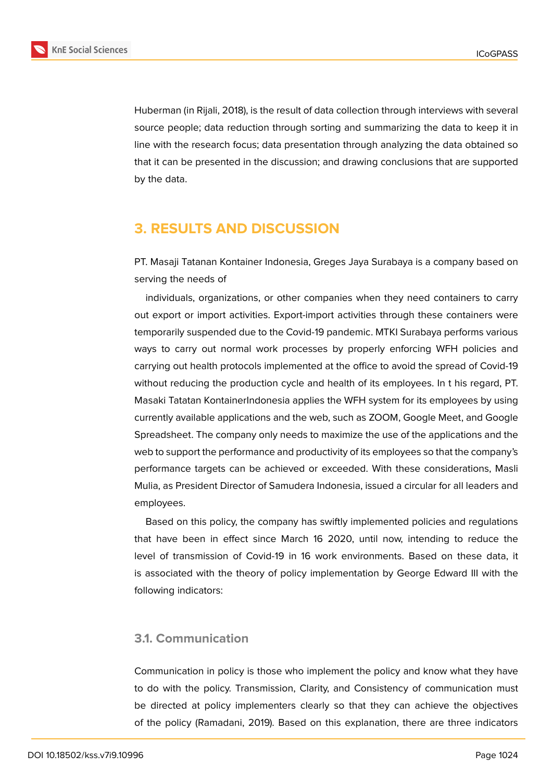

Huberman (in Rijali, 2018), is the result of data collection through interviews with several source people; data reduction through sorting and summarizing the data to keep it in line with the research focus; data presentation through analyzing the data obtained so that it can be presented in the discussion; and drawing conclusions that are supported by the data.

## **3. RESULTS AND DISCUSSION**

PT. Masaji Tatanan Kontainer Indonesia, Greges Jaya Surabaya is a company based on serving the needs of

individuals, organizations, or other companies when they need containers to carry out export or import activities. Export-import activities through these containers were temporarily suspended due to the Covid-19 pandemic. MTKI Surabaya performs various ways to carry out normal work processes by properly enforcing WFH policies and carrying out health protocols implemented at the office to avoid the spread of Covid-19 without reducing the production cycle and health of its employees. In t his regard, PT. Masaki Tatatan KontainerIndonesia applies the WFH system for its employees by using currently available applications and the web, such as ZOOM, Google Meet, and Google Spreadsheet. The company only needs to maximize the use of the applications and the web to support the performance and productivity of its employees so that the company's performance targets can be achieved or exceeded. With these considerations, Masli Mulia, as President Director of Samudera Indonesia, issued a circular for all leaders and employees.

Based on this policy, the company has swiftly implemented policies and regulations that have been in effect since March 16 2020, until now, intending to reduce the level of transmission of Covid-19 in 16 work environments. Based on these data, it is associated with the theory of policy implementation by George Edward III with the following indicators:

### **3.1. Communication**

Communication in policy is those who implement the policy and know what they have to do with the policy. Transmission, Clarity, and Consistency of communication must be directed at policy implementers clearly so that they can achieve the objectives of the policy (Ramadani, 2019). Based on this explanation, there are three indicators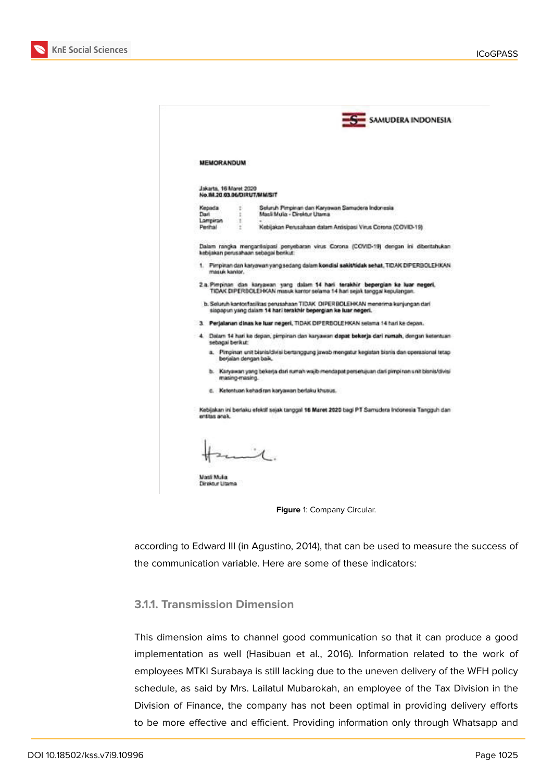

| <b>MEMORANDUM</b>            |                                                 |                                                                                                                                                              |
|------------------------------|-------------------------------------------------|--------------------------------------------------------------------------------------------------------------------------------------------------------------|
| Jakarta, 16 Maret 2020       | No.IM.20.03.06/DIRUT/MM/SIT                     |                                                                                                                                                              |
| Kennda -<br>Dari<br>Lampiran | z.<br>Masii Mulia - Direktur Utama<br>÷<br>÷    | Seluruh Pimpinan dan Karyawan Samudera Indonesia.                                                                                                            |
| Perthal                      | Ŧ                                               | Kebijakan Perusahaan dalam Antisipasi Virus Corona (COVID-19)                                                                                                |
|                              | kebiakan perusahaan sebagai berikut:            | Dalam rangka mengantisipasi penyebaran virus Corona (COVID-19) dengan ini diberitahukan                                                                      |
| masuk kantor.                |                                                 | 1. Pimpinan dan karyawan yang sedang dalam kondisi sakit tidak sehat, TIDAK DIPERBOLEHKAN                                                                    |
|                              |                                                 | 2.a. Pimpinan dan karyawan yang dalam 14 hari terakhir bepergian ke luar negeri,<br>TIDAK DIPERBOLEHKAN masuk kamor selama 14 hari sejak tanggal kepulangan. |
|                              |                                                 | b. Seluruh kantonfasikas perusahaan TIDAK DIPERBOLEHKAN menerima kunjungan dari<br>sispapun yang dalam 14 hari terakhir bepergian ke luar negeri.            |
|                              |                                                 | 3. Perjalarian dinas ke luar negeri, TIDAK DIPERBOLEHKAN selama 14 hari ke depan.                                                                            |
| sebagai berikut:             |                                                 | 4. Dalam 14 hari ke depan, pimpinan dan karyawan dapat bekerja dari rumah, dengan keterhuan                                                                  |
|                              | berialan dengan baik.                           | a. Pimpinan unit bisnis/divisi bertanggung jawab mengatur kegiatan bisnis dan operasional tetap                                                              |
|                              | masing-masing.                                  | b. Karyawan yang bekerja dari rumah wajib mendapat persehijuan dari pimpi nan unit bisnis/divisi                                                             |
|                              | c. Kelentuan kehadiran karyawan berlaku khusus. |                                                                                                                                                              |
| antitas anak.                |                                                 | Kebijakan ini berlaku efektif sejak tanggal 16 Maret 2020 bagi PT Samudera Indonesia Tangguh dan                                                             |
|                              |                                                 |                                                                                                                                                              |
|                              | $\lambda$                                       |                                                                                                                                                              |
|                              |                                                 |                                                                                                                                                              |

**Figure** 1: Company Circular.

according to Edward III (in Agustino, 2014), that can be used to measure the success of the communication variable. Here are some of these indicators:

#### **3.1.1. Transmission Dimension**

This dimension aims to channel good communication so that it can produce a good implementation as well (Hasibuan et al., 2016). Information related to the work of employees MTKI Surabaya is still lacking due to the uneven delivery of the WFH policy schedule, as said by Mrs. Lailatul Mubarokah, an employee of the Tax Division in the Division of Finance, the company has not been optimal in providing delivery efforts to be more effective and efficient. Providing information only through Whatsapp and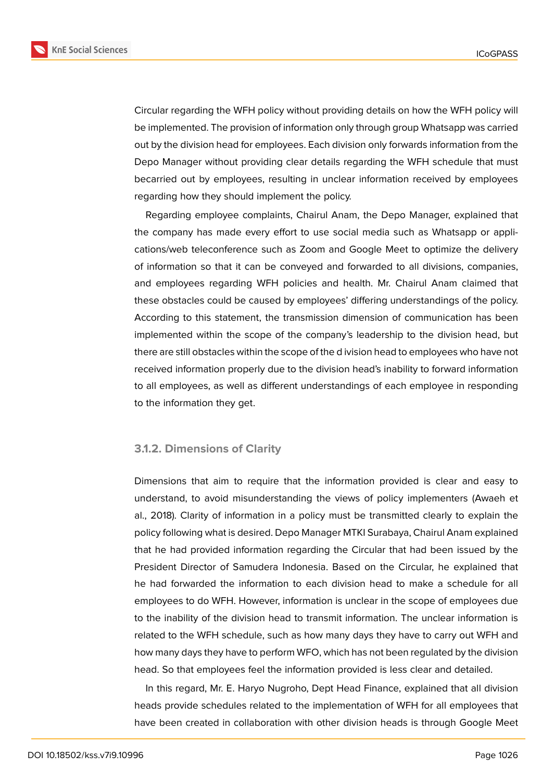

Circular regarding the WFH policy without providing details on how the WFH policy will be implemented. The provision of information only through group Whatsapp was carried out by the division head for employees. Each division only forwards information from the Depo Manager without providing clear details regarding the WFH schedule that must becarried out by employees, resulting in unclear information received by employees regarding how they should implement the policy.

Regarding employee complaints, Chairul Anam, the Depo Manager, explained that the company has made every effort to use social media such as Whatsapp or applications/web teleconference such as Zoom and Google Meet to optimize the delivery of information so that it can be conveyed and forwarded to all divisions, companies, and employees regarding WFH policies and health. Mr. Chairul Anam claimed that these obstacles could be caused by employees' differing understandings of the policy. According to this statement, the transmission dimension of communication has been implemented within the scope of the company's leadership to the division head, but there are still obstacles within the scope of the d ivision head to employees who have not received information properly due to the division head's inability to forward information to all employees, as well as different understandings of each employee in responding to the information they get.

#### **3.1.2. Dimensions of Clarity**

Dimensions that aim to require that the information provided is clear and easy to understand, to avoid misunderstanding the views of policy implementers (Awaeh et al., 2018). Clarity of information in a policy must be transmitted clearly to explain the policy following what is desired. Depo Manager MTKI Surabaya, Chairul Anam explained that he had provided information regarding the Circular that had been issued by the President Director of Samudera Indonesia. Based on the Circular, he explained that he had forwarded the information to each division head to make a schedule for all employees to do WFH. However, information is unclear in the scope of employees due to the inability of the division head to transmit information. The unclear information is related to the WFH schedule, such as how many days they have to carry out WFH and how many days they have to perform WFO, which has not been regulated by the division head. So that employees feel the information provided is less clear and detailed.

In this regard, Mr. E. Haryo Nugroho, Dept Head Finance, explained that all division heads provide schedules related to the implementation of WFH for all employees that have been created in collaboration with other division heads is through Google Meet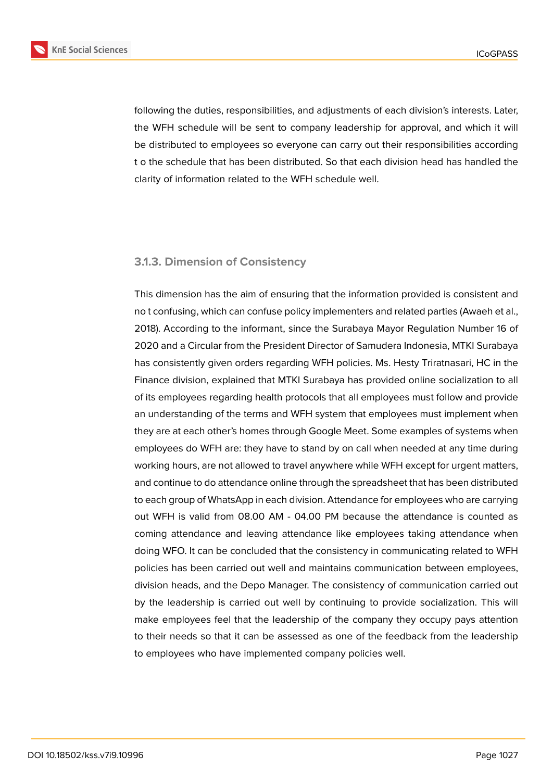

following the duties, responsibilities, and adjustments of each division's interests. Later, the WFH schedule will be sent to company leadership for approval, and which it will be distributed to employees so everyone can carry out their responsibilities according t o the schedule that has been distributed. So that each division head has handled the clarity of information related to the WFH schedule well.

#### **3.1.3. Dimension of Consistency**

This dimension has the aim of ensuring that the information provided is consistent and no t confusing, which can confuse policy implementers and related parties (Awaeh et al., 2018). According to the informant, since the Surabaya Mayor Regulation Number 16 of 2020 and a Circular from the President Director of Samudera Indonesia, MTKI Surabaya has consistently given orders regarding WFH policies. Ms. Hesty Triratnasari, HC in the Finance division, explained that MTKI Surabaya has provided online socialization to all of its employees regarding health protocols that all employees must follow and provide an understanding of the terms and WFH system that employees must implement when they are at each other's homes through Google Meet. Some examples of systems when employees do WFH are: they have to stand by on call when needed at any time during working hours, are not allowed to travel anywhere while WFH except for urgent matters, and continue to do attendance online through the spreadsheet that has been distributed to each group of WhatsApp in each division. Attendance for employees who are carrying out WFH is valid from 08.00 AM - 04.00 PM because the attendance is counted as coming attendance and leaving attendance like employees taking attendance when doing WFO. It can be concluded that the consistency in communicating related to WFH policies has been carried out well and maintains communication between employees, division heads, and the Depo Manager. The consistency of communication carried out by the leadership is carried out well by continuing to provide socialization. This will make employees feel that the leadership of the company they occupy pays attention to their needs so that it can be assessed as one of the feedback from the leadership to employees who have implemented company policies well.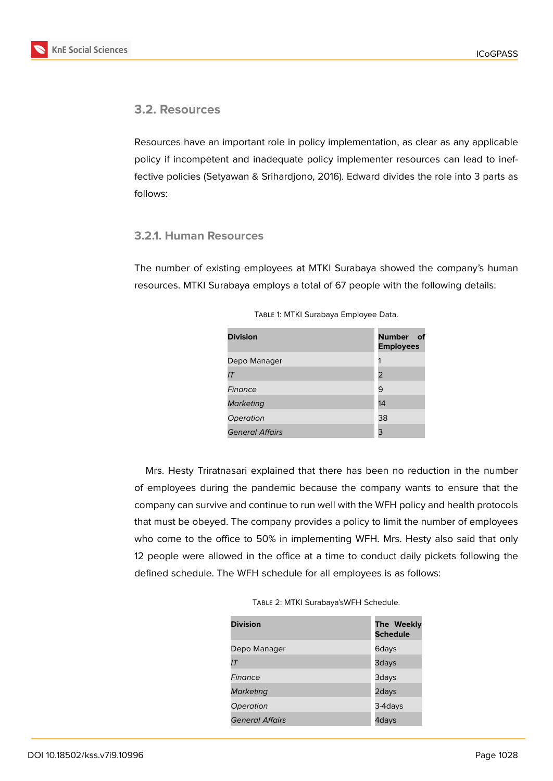

### **3.2. Resources**

Resources have an important role in policy implementation, as clear as any applicable policy if incompetent and inadequate policy implementer resources can lead to ineffective policies (Setyawan & Srihardjono, 2016). Edward divides the role into 3 parts as follows:

#### **3.2.1. Human Resources**

The number of existing employees at MTKI Surabaya showed the company's human resources. MTKI Surabaya employs a total of 67 people with the following details:

| <b>Division</b>        | Number of<br><b>Employees</b> |
|------------------------|-------------------------------|
| Depo Manager           |                               |
| IT                     | 2                             |
| Finance                | 9                             |
| <b>Marketing</b>       | 14                            |
| Operation              | 38                            |
| <b>General Affairs</b> | 3                             |

TABLE 1: MTKI Surabaya Employee Data.

Mrs. Hesty Triratnasari explained that there has been no reduction in the number of employees during the pandemic because the company wants to ensure that the company can survive and continue to run well with the WFH policy and health protocols that must be obeyed. The company provides a policy to limit the number of employees who come to the office to 50% in implementing WFH. Mrs. Hesty also said that only 12 people were allowed in the office at a time to conduct daily pickets following the defined schedule. The WFH schedule for all employees is as follows:

Table 2: MTKI Surabaya'sWFH Schedule.

| <b>Division</b>        | The Weekly<br><b>Schedule</b> |
|------------------------|-------------------------------|
| Depo Manager           | 6days                         |
| IΤ                     | 3days                         |
| Finance                | 3days                         |
| Marketing              | 2days                         |
| Operation              | 3-4 days                      |
| <b>General Affairs</b> | 4days                         |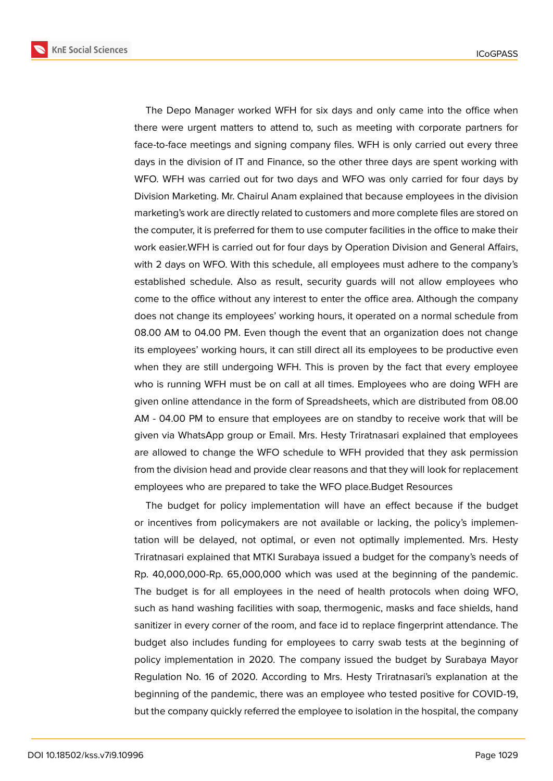

The Depo Manager worked WFH for six days and only came into the office when there were urgent matters to attend to, such as meeting with corporate partners for face-to-face meetings and signing company files. WFH is only carried out every three days in the division of IT and Finance, so the other three days are spent working with WFO. WFH was carried out for two days and WFO was only carried for four days by Division Marketing. Mr. Chairul Anam explained that because employees in the division marketing's work are directly related to customers and more complete files are stored on the computer, it is preferred for them to use computer facilities in the office to make their work easier.WFH is carried out for four days by Operation Division and General Affairs, with 2 days on WFO. With this schedule, all employees must adhere to the company's established schedule. Also as result, security guards will not allow employees who come to the office without any interest to enter the office area. Although the company does not change its employees' working hours, it operated on a normal schedule from 08.00 AM to 04.00 PM. Even though the event that an organization does not change its employees' working hours, it can still direct all its employees to be productive even when they are still undergoing WFH. This is proven by the fact that every employee who is running WFH must be on call at all times. Employees who are doing WFH are given online attendance in the form of Spreadsheets, which are distributed from 08.00 AM - 04.00 PM to ensure that employees are on standby to receive work that will be given via WhatsApp group or Email. Mrs. Hesty Triratnasari explained that employees are allowed to change the WFO schedule to WFH provided that they ask permission from the division head and provide clear reasons and that they will look for replacement employees who are prepared to take the WFO place.Budget Resources

The budget for policy implementation will have an effect because if the budget or incentives from policymakers are not available or lacking, the policy's implementation will be delayed, not optimal, or even not optimally implemented. Mrs. Hesty Triratnasari explained that MTKI Surabaya issued a budget for the company's needs of Rp. 40,000,000-Rp. 65,000,000 which was used at the beginning of the pandemic. The budget is for all employees in the need of health protocols when doing WFO, such as hand washing facilities with soap, thermogenic, masks and face shields, hand sanitizer in every corner of the room, and face id to replace fingerprint attendance. The budget also includes funding for employees to carry swab tests at the beginning of policy implementation in 2020. The company issued the budget by Surabaya Mayor Regulation No. 16 of 2020. According to Mrs. Hesty Triratnasari's explanation at the beginning of the pandemic, there was an employee who tested positive for COVID-19, but the company quickly referred the employee to isolation in the hospital, the company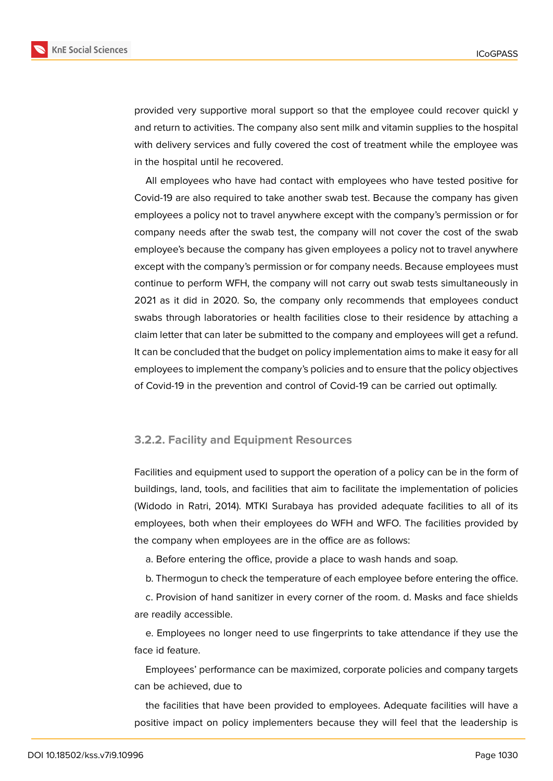

provided very supportive moral support so that the employee could recover quickl y and return to activities. The company also sent milk and vitamin supplies to the hospital with delivery services and fully covered the cost of treatment while the employee was in the hospital until he recovered.

All employees who have had contact with employees who have tested positive for Covid-19 are also required to take another swab test. Because the company has given employees a policy not to travel anywhere except with the company's permission or for company needs after the swab test, the company will not cover the cost of the swab employee's because the company has given employees a policy not to travel anywhere except with the company's permission or for company needs. Because employees must continue to perform WFH, the company will not carry out swab tests simultaneously in 2021 as it did in 2020. So, the company only recommends that employees conduct swabs through laboratories or health facilities close to their residence by attaching a claim letter that can later be submitted to the company and employees will get a refund. It can be concluded that the budget on policy implementation aims to make it easy for all employees to implement the company's policies and to ensure that the policy objectives of Covid-19 in the prevention and control of Covid-19 can be carried out optimally.

#### **3.2.2. Facility and Equipment Resources**

Facilities and equipment used to support the operation of a policy can be in the form of buildings, land, tools, and facilities that aim to facilitate the implementation of policies (Widodo in Ratri, 2014). MTKI Surabaya has provided adequate facilities to all of its employees, both when their employees do WFH and WFO. The facilities provided by the company when employees are in the office are as follows:

a. Before entering the office, provide a place to wash hands and soap.

b. Thermogun to check the temperature of each employee before entering the office.

c. Provision of hand sanitizer in every corner of the room. d. Masks and face shields are readily accessible.

e. Employees no longer need to use fingerprints to take attendance if they use the face id feature.

Employees' performance can be maximized, corporate policies and company targets can be achieved, due to

the facilities that have been provided to employees. Adequate facilities will have a positive impact on policy implementers because they will feel that the leadership is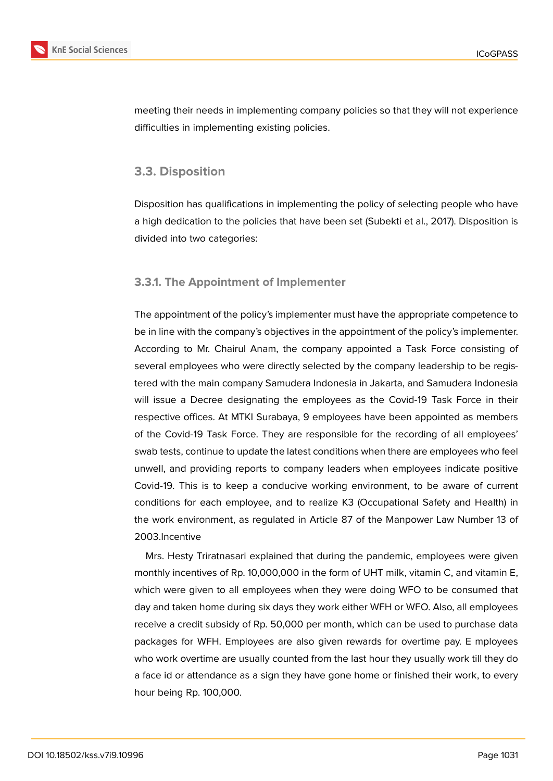

meeting their needs in implementing company policies so that they will not experience difficulties in implementing existing policies.

### **3.3. Disposition**

Disposition has qualifications in implementing the policy of selecting people who have a high dedication to the policies that have been set (Subekti et al., 2017). Disposition is divided into two categories:

#### **3.3.1. The Appointment of Implementer**

The appointment of the policy's implementer must have the appropriate competence to be in line with the company's objectives in the appointment of the policy's implementer. According to Mr. Chairul Anam, the company appointed a Task Force consisting of several employees who were directly selected by the company leadership to be registered with the main company Samudera Indonesia in Jakarta, and Samudera Indonesia will issue a Decree designating the employees as the Covid-19 Task Force in their respective offices. At MTKI Surabaya, 9 employees have been appointed as members of the Covid-19 Task Force. They are responsible for the recording of all employees' swab tests, continue to update the latest conditions when there are employees who feel unwell, and providing reports to company leaders when employees indicate positive Covid-19. This is to keep a conducive working environment, to be aware of current conditions for each employee, and to realize K3 (Occupational Safety and Health) in the work environment, as regulated in Article 87 of the Manpower Law Number 13 of 2003.Incentive

Mrs. Hesty Triratnasari explained that during the pandemic, employees were given monthly incentives of Rp. 10,000,000 in the form of UHT milk, vitamin C, and vitamin E, which were given to all employees when they were doing WFO to be consumed that day and taken home during six days they work either WFH or WFO. Also, all employees receive a credit subsidy of Rp. 50,000 per month, which can be used to purchase data packages for WFH. Employees are also given rewards for overtime pay. E mployees who work overtime are usually counted from the last hour they usually work till they do a face id or attendance as a sign they have gone home or finished their work, to every hour being Rp. 100,000.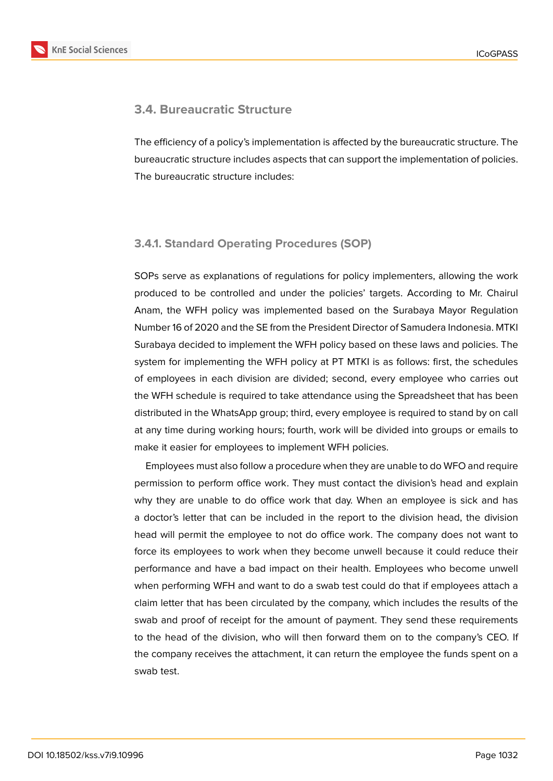

### **3.4. Bureaucratic Structure**

The efficiency of a policy's implementation is affected by the bureaucratic structure. The bureaucratic structure includes aspects that can support the implementation of policies. The bureaucratic structure includes:

#### **3.4.1. Standard Operating Procedures (SOP)**

SOPs serve as explanations of regulations for policy implementers, allowing the work produced to be controlled and under the policies' targets. According to Mr. Chairul Anam, the WFH policy was implemented based on the Surabaya Mayor Regulation Number 16 of 2020 and the SE from the President Director of Samudera Indonesia. MTKI Surabaya decided to implement the WFH policy based on these laws and policies. The system for implementing the WFH policy at PT MTKI is as follows: first, the schedules of employees in each division are divided; second, every employee who carries out the WFH schedule is required to take attendance using the Spreadsheet that has been distributed in the WhatsApp group; third, every employee is required to stand by on call at any time during working hours; fourth, work will be divided into groups or emails to make it easier for employees to implement WFH policies.

Employees must also follow a procedure when they are unable to do WFO and require permission to perform office work. They must contact the division's head and explain why they are unable to do office work that day. When an employee is sick and has a doctor's letter that can be included in the report to the division head, the division head will permit the employee to not do office work. The company does not want to force its employees to work when they become unwell because it could reduce their performance and have a bad impact on their health. Employees who become unwell when performing WFH and want to do a swab test could do that if employees attach a claim letter that has been circulated by the company, which includes the results of the swab and proof of receipt for the amount of payment. They send these requirements to the head of the division, who will then forward them on to the company's CEO. If the company receives the attachment, it can return the employee the funds spent on a swab test.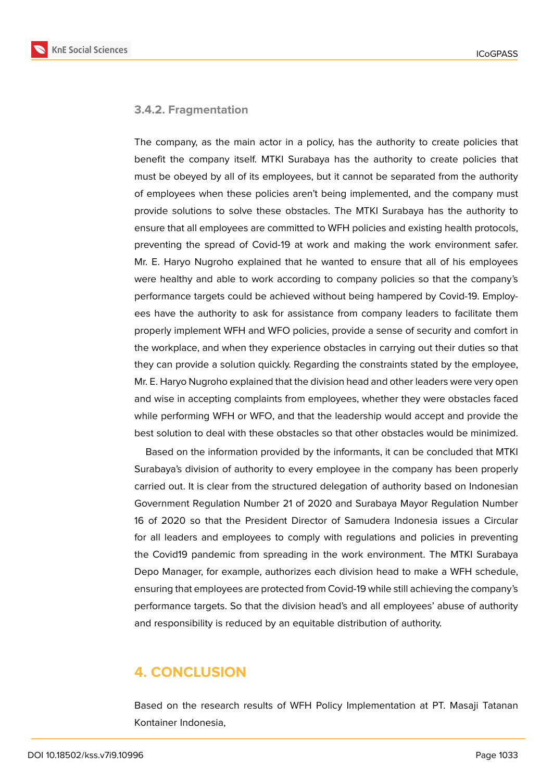#### **3.4.2. Fragmentation**

The company, as the main actor in a policy, has the authority to create policies that benefit the company itself. MTKI Surabaya has the authority to create policies that must be obeyed by all of its employees, but it cannot be separated from the authority of employees when these policies aren't being implemented, and the company must provide solutions to solve these obstacles. The MTKI Surabaya has the authority to ensure that all employees are committed to WFH policies and existing health protocols, preventing the spread of Covid-19 at work and making the work environment safer. Mr. E. Haryo Nugroho explained that he wanted to ensure that all of his employees were healthy and able to work according to company policies so that the company's performance targets could be achieved without being hampered by Covid-19. Employees have the authority to ask for assistance from company leaders to facilitate them properly implement WFH and WFO policies, provide a sense of security and comfort in the workplace, and when they experience obstacles in carrying out their duties so that they can provide a solution quickly. Regarding the constraints stated by the employee, Mr. E. Haryo Nugroho explained that the division head and other leaders were very open and wise in accepting complaints from employees, whether they were obstacles faced while performing WFH or WFO, and that the leadership would accept and provide the best solution to deal with these obstacles so that other obstacles would be minimized.

Based on the information provided by the informants, it can be concluded that MTKI Surabaya's division of authority to every employee in the company has been properly carried out. It is clear from the structured delegation of authority based on Indonesian Government Regulation Number 21 of 2020 and Surabaya Mayor Regulation Number 16 of 2020 so that the President Director of Samudera Indonesia issues a Circular for all leaders and employees to comply with regulations and policies in preventing the Covid19 pandemic from spreading in the work environment. The MTKI Surabaya Depo Manager, for example, authorizes each division head to make a WFH schedule, ensuring that employees are protected from Covid-19 while still achieving the company's performance targets. So that the division head's and all employees' abuse of authority and responsibility is reduced by an equitable distribution of authority.

## **4. CONCLUSION**

Based on the research results of WFH Policy Implementation at PT. Masaji Tatanan Kontainer Indonesia,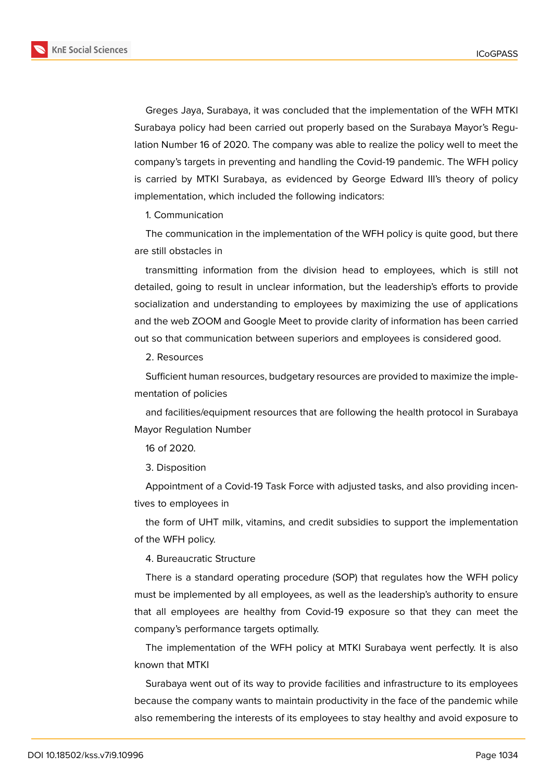

Greges Jaya, Surabaya, it was concluded that the implementation of the WFH MTKI Surabaya policy had been carried out properly based on the Surabaya Mayor's Regulation Number 16 of 2020. The company was able to realize the policy well to meet the company's targets in preventing and handling the Covid-19 pandemic. The WFH policy is carried by MTKI Surabaya, as evidenced by George Edward III's theory of policy implementation, which included the following indicators:

1. Communication

The communication in the implementation of the WFH policy is quite good, but there are still obstacles in

transmitting information from the division head to employees, which is still not detailed, going to result in unclear information, but the leadership's efforts to provide socialization and understanding to employees by maximizing the use of applications and the web ZOOM and Google Meet to provide clarity of information has been carried out so that communication between superiors and employees is considered good.

2. Resources

Sufficient human resources, budgetary resources are provided to maximize the implementation of policies

and facilities/equipment resources that are following the health protocol in Surabaya Mayor Regulation Number

16 of 2020.

3. Disposition

Appointment of a Covid-19 Task Force with adjusted tasks, and also providing incentives to employees in

the form of UHT milk, vitamins, and credit subsidies to support the implementation of the WFH policy.

4. Bureaucratic Structure

There is a standard operating procedure (SOP) that regulates how the WFH policy must be implemented by all employees, as well as the leadership's authority to ensure that all employees are healthy from Covid-19 exposure so that they can meet the company's performance targets optimally.

The implementation of the WFH policy at MTKI Surabaya went perfectly. It is also known that MTKI

Surabaya went out of its way to provide facilities and infrastructure to its employees because the company wants to maintain productivity in the face of the pandemic while also remembering the interests of its employees to stay healthy and avoid exposure to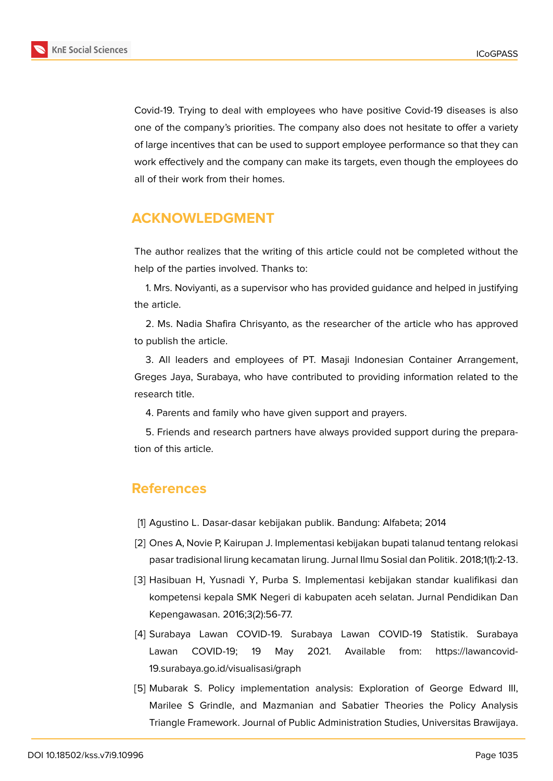

Covid-19. Trying to deal with employees who have positive Covid-19 diseases is also one of the company's priorities. The company also does not hesitate to offer a variety of large incentives that can be used to support employee performance so that they can work effectively and the company can make its targets, even though the employees do all of their work from their homes.

## **ACKNOWLEDGMENT**

The author realizes that the writing of this article could not be completed without the help of the parties involved. Thanks to:

1. Mrs. Noviyanti, as a supervisor who has provided guidance and helped in justifying the article.

2. Ms. Nadia Shafira Chrisyanto, as the researcher of the article who has approved to publish the article.

3. All leaders and employees of PT. Masaji Indonesian Container Arrangement, Greges Jaya, Surabaya, who have contributed to providing information related to the research title.

4. Parents and family who have given support and prayers.

5. Friends and research partners have always provided support during the preparation of this article.

## **References**

- [1] Agustino L. Dasar-dasar kebijakan publik. Bandung: Alfabeta; 2014
- [2] Ones A, Novie P, Kairupan J. Implementasi kebijakan bupati talanud tentang relokasi pasar tradisional lirung kecamatan lirung. Jurnal Ilmu Sosial dan Politik. 2018;1(1):2-13.
- [3] Hasibuan H, Yusnadi Y, Purba S. Implementasi kebijakan standar kualifikasi dan kompetensi kepala SMK Negeri di kabupaten aceh selatan. Jurnal Pendidikan Dan Kepengawasan. 2016;3(2):56-77.
- [4] Surabaya Lawan COVID-19. Surabaya Lawan COVID-19 Statistik. Surabaya Lawan COVID-19; 19 May 2021. Available from: https://lawancovid-19.surabaya.go.id/visualisasi/graph
- [5] Mubarak S. Policy implementation analysis: Exploration of George Edward III, Marilee S Grindle, and Mazmanian and Sabatier Theories the Policy Analysis Triangle Framework. Journal of Public Administration Studies, Universitas Brawijaya.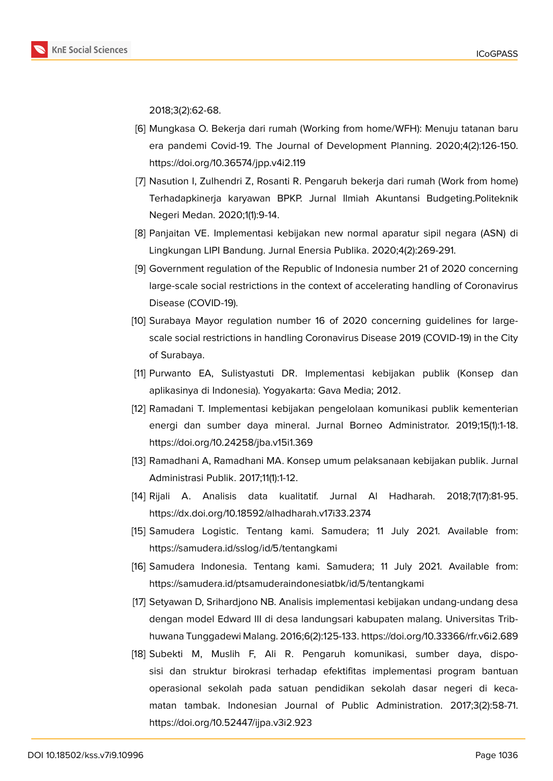2018;3(2):62-68.

- [6] Mungkasa O. Bekerja dari rumah (Working from home/WFH): Menuju tatanan baru era pandemi Covid-19. The Journal of Development Planning. 2020;4(2):126-150. https://doi.org/10.36574/jpp.v4i2.119
- [7] Nasution I, Zulhendri Z, Rosanti R. Pengaruh bekerja dari rumah (Work from home) Terhadapkinerja karyawan BPKP. Jurnal Ilmiah Akuntansi Budgeting.Politeknik Negeri Medan. 2020;1(1):9-14.
- [8] Panjaitan VE. Implementasi kebijakan new normal aparatur sipil negara (ASN) di Lingkungan LIPI Bandung. Jurnal Enersia Publika. 2020;4(2):269-291.
- [9] Government regulation of the Republic of Indonesia number 21 of 2020 concerning large-scale social restrictions in the context of accelerating handling of Coronavirus Disease (COVID-19).
- [10] Surabaya Mayor regulation number 16 of 2020 concerning guidelines for largescale social restrictions in handling Coronavirus Disease 2019 (COVID-19) in the City of Surabaya.
- [11] Purwanto EA, Sulistyastuti DR. Implementasi kebijakan publik (Konsep dan aplikasinya di Indonesia). Yogyakarta: Gava Media; 2012.
- [12] Ramadani T. Implementasi kebijakan pengelolaan komunikasi publik kementerian energi dan sumber daya mineral. Jurnal Borneo Administrator. 2019;15(1):1-18. https://doi.org/10.24258/jba.v15i1.369
- [13] Ramadhani A, Ramadhani MA. Konsep umum pelaksanaan kebijakan publik. Jurnal Administrasi Publik. 2017;11(1):1-12.
- [14] Rijali A. Analisis data kualitatif. Jurnal Al Hadharah. 2018;7(17):81-95. https://dx.doi.org/10.18592/alhadharah.v17i33.2374
- [15] Samudera Logistic. Tentang kami. Samudera; 11 July 2021. Available from: https://samudera.id/sslog/id/5/tentangkami
- [16] Samudera Indonesia. Tentang kami. Samudera; 11 July 2021. Available from: https://samudera.id/ptsamuderaindonesiatbk/id/5/tentangkami
- [17] Setyawan D, Srihardjono NB. Analisis implementasi kebijakan undang-undang desa dengan model Edward III di desa landungsari kabupaten malang. Universitas Tribhuwana Tunggadewi Malang. 2016;6(2):125-133. https://doi.org/10.33366/rfr.v6i2.689
- [18] Subekti M, Muslih F, Ali R. Pengaruh komunikasi, sumber daya, disposisi dan struktur birokrasi terhadap efektifitas implementasi program bantuan operasional sekolah pada satuan pendidikan sekolah dasar negeri di kecamatan tambak. Indonesian Journal of Public Administration. 2017;3(2):58-71. https://doi.org/10.52447/ijpa.v3i2.923